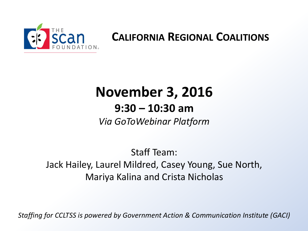

#### **CALIFORNIA REGIONAL COALITIONS**

## **November 3, 2016**

#### **9:30 – 10:30 am**

*Via GoToWebinar Platform*

Staff Team: Jack Hailey, Laurel Mildred, Casey Young, Sue North, Mariya Kalina and Crista Nicholas

*Staffing for CCLTSS is powered by Government Action & Communication Institute (GACI)*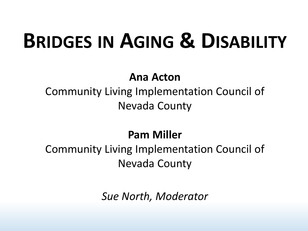## **BRIDGES IN AGING & DISABILITY**

#### **Ana Acton**

Community Living Implementation Council of Nevada County

#### **Pam Miller**

## Community Living Implementation Council of Nevada County

*Sue North, Moderator*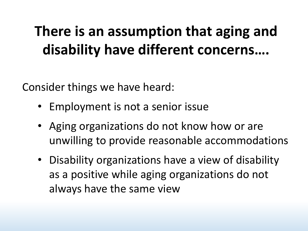## **There is an assumption that aging and disability have different concerns….**

Consider things we have heard:

- Employment is not a senior issue
- Aging organizations do not know how or are unwilling to provide reasonable accommodations
- Disability organizations have a view of disability as a positive while aging organizations do not always have the same view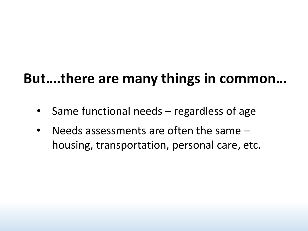## **But….there are many things in common…**

- Same functional needs regardless of age
- Needs assessments are often the same  $$ housing, transportation, personal care, etc.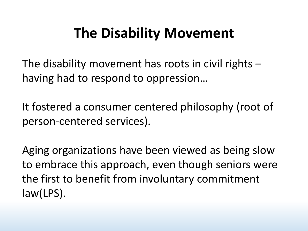## **The Disability Movement**

The disability movement has roots in civil rights – having had to respond to oppression…

It fostered a consumer centered philosophy (root of person-centered services).

Aging organizations have been viewed as being slow to embrace this approach, even though seniors were the first to benefit from involuntary commitment law(LPS).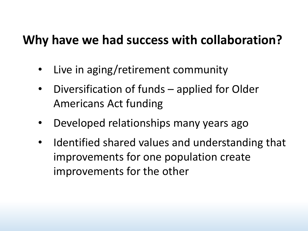## **Why have we had success with collaboration?**

- Live in aging/retirement community
- Diversification of funds applied for Older Americans Act funding
- Developed relationships many years ago
- Identified shared values and understanding that improvements for one population create improvements for the other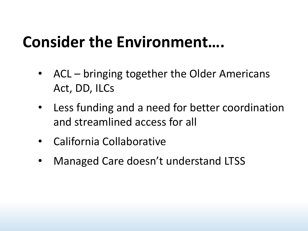## **Consider the Environment….**

- ACL bringing together the Older Americans Act, DD, ILCs
- Less funding and a need for better coordination and streamlined access for all
- California Collaborative
- Managed Care doesn't understand LTSS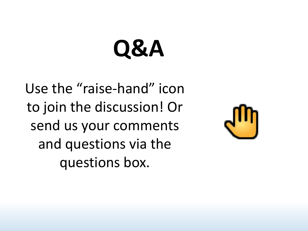# **Q&A**

Use the "raise-hand" icon to join the discussion! Or send us your comments and questions via the questions box.